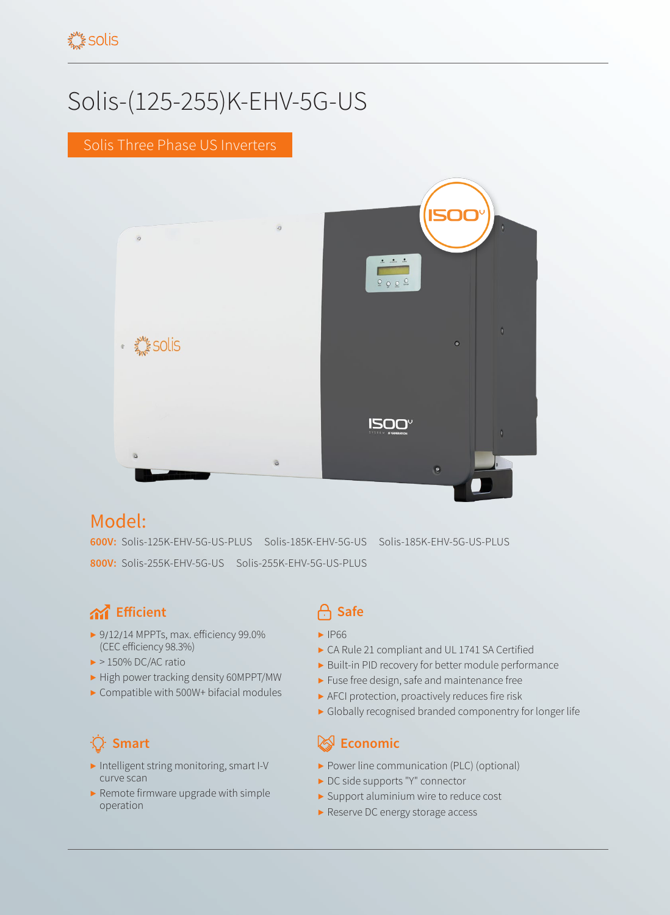# Solis-(125-255)K-EHV-5G-US

### Solis Three Phase US Inverters



# Model:

**600V:** Solis-125K-EHV-5G-US-PLUS Solis-185K-EHV-5G-US Solis-185K-EHV-5G-US-PLUS **800V:** Solis-255K-EHV-5G-US Solis-255K-EHV-5G-US-PLUS

# **And** Efficient **Safe**

- ▶ 9/12/14 MPPTs, max. efficiency 99.0% (CEC efficiency 98.3%)
- $\blacktriangleright$  > 150% DC/AC ratio
- ▶ High power tracking density 60MPPT/MW
- ▶ Compatible with 500W+ bifacial modules

- ▶ Intelligent string monitoring, smart I-V curve scan
- $\blacktriangleright$  Remote firmware upgrade with simple operation

- ▶ IP66
- ▶ CA Rule 21 compliant and UL 1741 SA Certified
- ▶ Built-in PID recovery for better module performance
- ▶ Fuse free design, safe and maintenance free
- ▶ AFCI protection, proactively reduces fire risk
- ▶ Globally recognised branded componentry for longer life

### **Smart Example 2018 Example 2019 Economic**

- ▶ Power line communication (PLC) (optional)
- ▶ DC side supports "Y" connector
- ▶ Support aluminium wire to reduce cost
- ▶ Reserve DC energy storage access